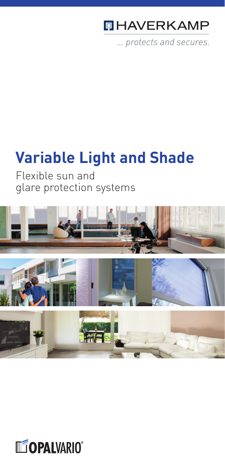# **QHAVERKAMP**

... protects and secures.

# **Variable Light and Shade**

Flexible sun and glare protection systems



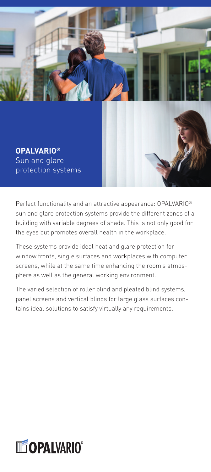

Sun and glare protection systems **OPALVARIO®**

Perfect functionality and an attractive appearance: OPALVARIO® sun and glare protection systems provide the different zones of a building with variable degrees of shade. This is not only good for the eyes but promotes overall health in the workplace.

These systems provide ideal heat and glare protection for window fronts, single surfaces and workplaces with computer screens, while at the same time enhancing the room's atmosphere as well as the general working environment.

The varied selection of roller blind and pleated blind systems, panel screens and vertical blinds for large glass surfaces contains ideal solutions to satisfy virtually any requirements.

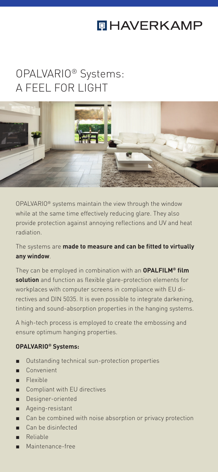# **QHAVERKAMP**

# OPALVARIO® Systems: A FEEL FOR LIGHT



OPALVARIO® systems maintain the view through the window while at the same time effectively reducing glare. They also provide protection against annoying reflections and UV and heat radiation.

The systems are **made to measure and can be fitted to virtually any window**.

They can be employed in combination with an **OPALFILM® film solution** and function as flexible glare-protection elements for workplaces with computer screens in compliance with EU directives and DIN 5035. It is even possible to integrate darkening, tinting and sound-absorption properties in the hanging systems.

A high-tech process is employed to create the embossing and ensure optimum hanging properties.

#### **OPALVARIO® Systems:**

- Outstanding technical sun-protection properties
- Convenient
- Flexible
- Compliant with EU directives
- Designer-oriented
- Ageing-resistant
- Can be combined with noise absorption or privacy protection
- Can be disinfected
- Reliable
- Maintenance-free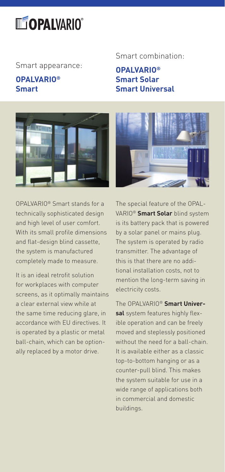# **LEOPALVARIO**®

Smart appearance: **OPALVARIO®**

#### **OPALVARIO® Smart**



OPALVARIO® Smart stands for a technically sophisticated design and high level of user comfort. With its small profile dimensions and flat-design blind cassette, the system is manufactured completely made to measure.

It is an ideal retrofit solution for workplaces with computer screens, as it optimally maintains a clear external view while at the same time reducing glare, in accordance with EU directives. It is operated by a plastic or metal ball-chain, which can be optionally replaced by a motor drive.

#### Smart combination:

**Smart Solar Smart Universal**



The special feature of the OPAL-VARIO® **Smart Solar** blind system is its battery pack that is powered by a solar panel or mains plug. The system is operated by radio transmitter. The advantage of this is that there are no additional installation costs, not to mention the long-term saving in electricity costs.

The OPALVARIO® **Smart Universal** system features highly flexible operation and can be freely moved and steplessly positioned without the need for a ball-chain. It is available either as a classic top-to-bottom hanging or as a counter-pull blind. This makes the system suitable for use in a wide range of applications both in commercial and domestic buildings.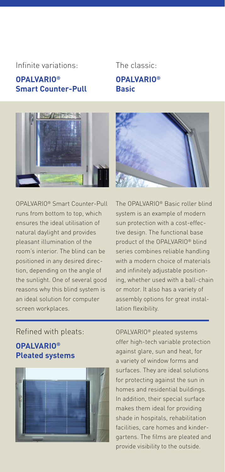#### Infinite variations: The classic:

#### **OPALVARIO® Smart Counter-Pull**

### **OPALVARIO® Basic**



OPALVARIO® Smart Counter-Pull runs from bottom to top, which ensures the ideal utilisation of natural daylight and provides pleasant illumination of the room's interior. The blind can be positioned in any desired direction, depending on the angle of the sunlight. One of several good reasons why this blind system is an ideal solution for computer screen workplaces.

The OPALVARIO® Basic roller blind system is an example of modern sun protection with a cost-effective design. The functional base product of the OPALVARIO® blind series combines reliable handling with a modern choice of materials and infinitely adjustable positioning, whether used with a ball-chain or motor. It also has a variety of assembly options for great installation flexibility.

Refined with pleats:

### **OPALVARIO® Pleated systems**



OPALVARIO® pleated systems offer high-tech variable protection against glare, sun and heat, for a variety of window forms and surfaces. They are ideal solutions for protecting against the sun in homes and residential buildings. In addition, their special surface makes them ideal for providing shade in hospitals, rehabilitation facilities, care homes and kindergartens. The films are pleated and provide visibility to the outside.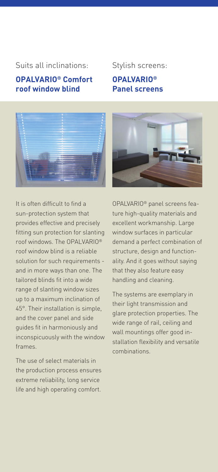#### Suits all inclinations: Stylish screens:

#### **OPALVARIO® Comfort roof window blind**

#### **OPALVARIO® Panel screens**





It is often difficult to find a sun-protection system that provides effective and precisely fitting sun protection for slanting roof windows. The OPALVARIO® roof window blind is a reliable solution for such requirements and in more ways than one. The tailored blinds fit into a wide range of slanting window sizes up to a maximum inclination of 45°. Their installation is simple, and the cover panel and side guides fit in harmoniously and inconspicuously with the window frames.

The use of select materials in the production process ensures extreme reliability, long service life and high operating comfort. OPALVARIO® panel screens feature high-quality materials and excellent workmanship. Large window surfaces in particular demand a perfect combination of structure, design and functionality. And it goes without saying that they also feature easy handling and cleaning.

The systems are exemplary in their light transmission and glare protection properties. The wide range of rail, ceiling and wall mountings offer good installation flexibility and versatile combinations.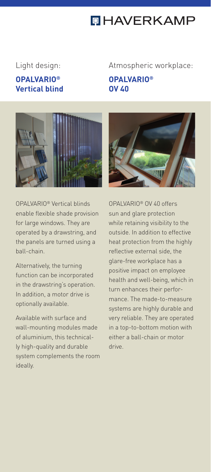## **QHAVERKAMP**

#### **OPALVARIO® Vertical blind**

### Light design: Atmospheric workplace: **OPALVARIO®**

**OV 40**

OPALVARIO® Vertical blinds enable flexible shade provision for large windows. They are operated by a drawstring, and the panels are turned using a ball-chain.

Alternatively, the turning function can be incorporated in the drawstring's operation. In addition, a motor drive is optionally available.

Available with surface and wall-mounting modules made of aluminium, this technically high-quality and durable system complements the room ideally.



OPALVARIO® OV 40 offers sun and glare protection while retaining visibility to the outside. In addition to effective heat protection from the highly reflective external side, the glare-free workplace has a positive impact on employee health and well-being, which in turn enhances their performance. The made-to-measure systems are highly durable and very reliable. They are operated in a top-to-bottom motion with either a ball-chain or motor drive.